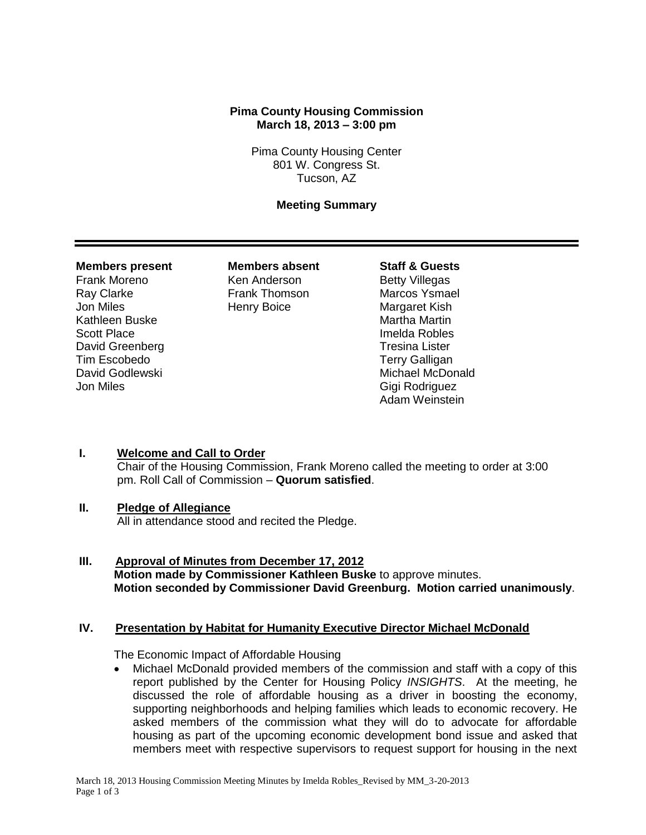## **Pima County Housing Commission March 18, 2013 – 3:00 pm**

Pima County Housing Center 801 W. Congress St. Tucson, AZ

## **Meeting Summary**

#### **Members present Members absent Staff & Guests**

Frank Moreno **Ken Anderson** Betty Villegas Ray Clarke **Frank Thomson** Marcos Ysmael **Jon Miles Community Communist Henry Boice Communist Margaret Kish** Kathleen Buske Martha Martha Martin Scott Place **Imelda Robles** David Greenberg Tresina Lister Tim Escobedo **Tim Escobedo** and Terry Galligan<br>David Godlewski **Album Controller State Controller State** School Jon Miles Gigi Rodriguez

Michael McDonald Adam Weinstein

## **I. Welcome and Call to Order**

Chair of the Housing Commission, Frank Moreno called the meeting to order at 3:00 pm. Roll Call of Commission – **Quorum satisfied**.

## **II. Pledge of Allegiance**

All in attendance stood and recited the Pledge.

**III. Approval of Minutes from December 17, 2012 Motion made by Commissioner Kathleen Buske** to approve minutes. **Motion seconded by Commissioner David Greenburg. Motion carried unanimously**.

## **IV. Presentation by Habitat for Humanity Executive Director Michael McDonald**

The Economic Impact of Affordable Housing

 Michael McDonald provided members of the commission and staff with a copy of this report published by the Center for Housing Policy *INSIGHTS*. At the meeting, he discussed the role of affordable housing as a driver in boosting the economy, supporting neighborhoods and helping families which leads to economic recovery. He asked members of the commission what they will do to advocate for affordable housing as part of the upcoming economic development bond issue and asked that members meet with respective supervisors to request support for housing in the next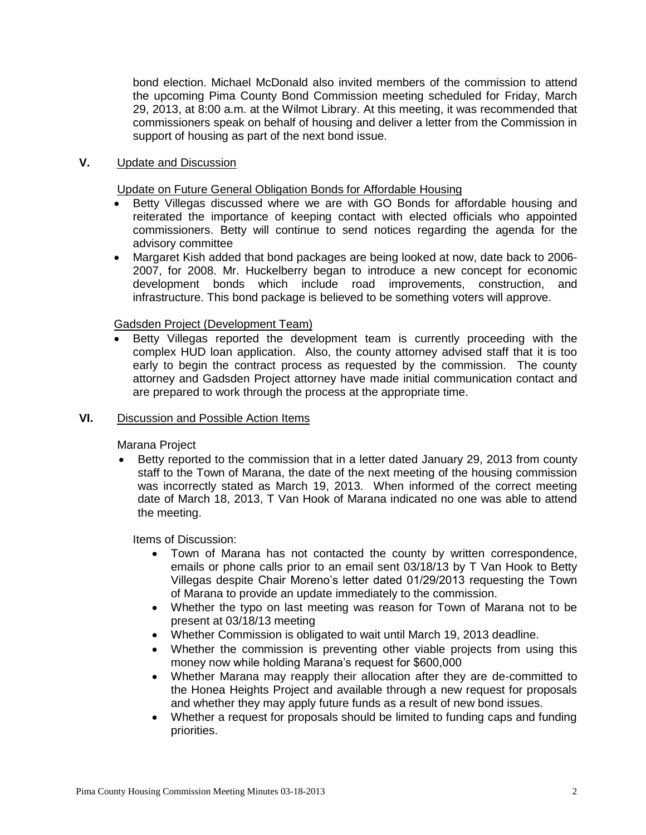bond election. Michael McDonald also invited members of the commission to attend the upcoming Pima County Bond Commission meeting scheduled for Friday, March 29, 2013, at 8:00 a.m. at the Wilmot Library. At this meeting, it was recommended that commissioners speak on behalf of housing and deliver a letter from the Commission in support of housing as part of the next bond issue.

## **V.** Update and Discussion

Update on Future General Obligation Bonds for Affordable Housing

- Betty Villegas discussed where we are with GO Bonds for affordable housing and reiterated the importance of keeping contact with elected officials who appointed commissioners. Betty will continue to send notices regarding the agenda for the advisory committee
- Margaret Kish added that bond packages are being looked at now, date back to 2006- 2007, for 2008. Mr. Huckelberry began to introduce a new concept for economic development bonds which include road improvements, construction, and infrastructure. This bond package is believed to be something voters will approve.

## Gadsden Project (Development Team)

 Betty Villegas reported the development team is currently proceeding with the complex HUD loan application. Also, the county attorney advised staff that it is too early to begin the contract process as requested by the commission. The county attorney and Gadsden Project attorney have made initial communication contact and are prepared to work through the process at the appropriate time.

# **VI.** Discussion and Possible Action Items

Marana Project

• Betty reported to the commission that in a letter dated January 29, 2013 from county staff to the Town of Marana, the date of the next meeting of the housing commission was incorrectly stated as March 19, 2013. When informed of the correct meeting date of March 18, 2013, T Van Hook of Marana indicated no one was able to attend the meeting.

Items of Discussion:

- Town of Marana has not contacted the county by written correspondence, emails or phone calls prior to an email sent 03/18/13 by T Van Hook to Betty Villegas despite Chair Moreno's letter dated 01/29/2013 requesting the Town of Marana to provide an update immediately to the commission.
- Whether the typo on last meeting was reason for Town of Marana not to be present at 03/18/13 meeting
- Whether Commission is obligated to wait until March 19, 2013 deadline.
- Whether the commission is preventing other viable projects from using this money now while holding Marana's request for \$600,000
- Whether Marana may reapply their allocation after they are de-committed to the Honea Heights Project and available through a new request for proposals and whether they may apply future funds as a result of new bond issues.
- Whether a request for proposals should be limited to funding caps and funding priorities.